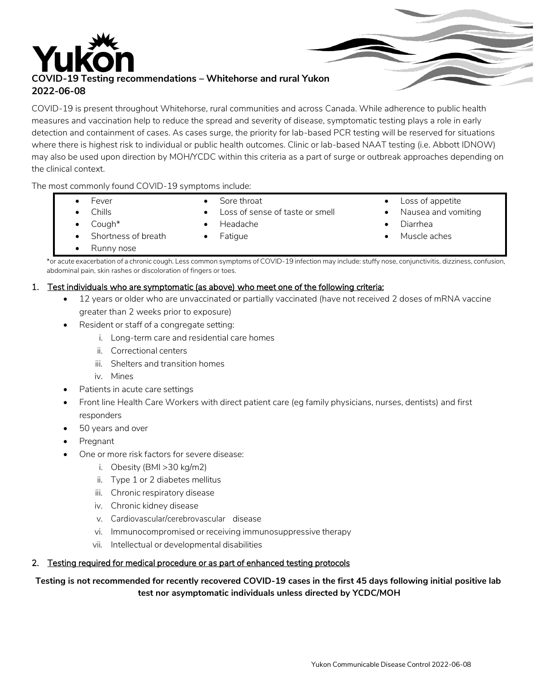

COVID-19 is present throughout Whitehorse, rural communities and across Canada. While adherence to public health measures and vaccination help to reduce the spread and severity of disease, symptomatic testing plays a role in early detection and containment of cases. As cases surge, the priority for lab-based PCR testing will be reserved for situations where there is highest risk to individual or public health outcomes. Clinic or lab-based NAAT testing (i.e. Abbott IDNOW) may also be used upon direction by MOH/YCDC within this criteria as a part of surge or outbreak approaches depending on the clinical context.

The most commonly found COVID-19 symptoms include:

**•** Fever

- Sore throat
- Loss of sense of taste or smell
- Chills

Headache

Fatigue

• Loss of appetite Nausea and vomiting

Cough\*

Shortness of breath

- Diarrhea
	- Muscle aches

Runny nose

\*or acute exacerbation of a chronic cough. Less common symptoms ofCOVID-19 infection may include: stuffy nose, conjunctivitis, dizziness, confusion, abdominal pain, skin rashes or discoloration of fingers or toes.

### 1. Test individuals who are symptomatic (as above) who meet one of the following criteria:

- 12 years or older who are unvaccinated or partially vaccinated (have not received 2 doses of mRNA vaccine greater than 2 weeks prior to exposure)
- Resident or staff of a congregate setting:
	- i. Long-term care and residential care homes
	- ii. Correctional centers
	- iii. Shelters and transition homes
	- iv. Mines
- Patients in acute care settings
- Front line Health Care Workers with direct patient care (eg family physicians, nurses, dentists) and first responders
- 50 years and over
- Pregnant
- One or more risk factors for severe disease:
	- i. Obesity (BMI >30 kg/m2)
	- ii. Type 1 or 2 diabetes mellitus
	- iii. Chronic respiratory disease
	- iv. Chronic kidney disease
	- v. Cardiovascular/cerebrovascular disease
	- vi. Immunocompromised or receiving immunosuppressive therapy
	- vii. Intellectual or developmental disabilities

### 2. Testing required for medical procedure or as part of enhanced testing protocols

### Testing is not recommended for recently recovered COVID-19 cases in the first 45 days following initial positive lab **test nor asymptomatic individuals unless directed by YCDC/MOH**